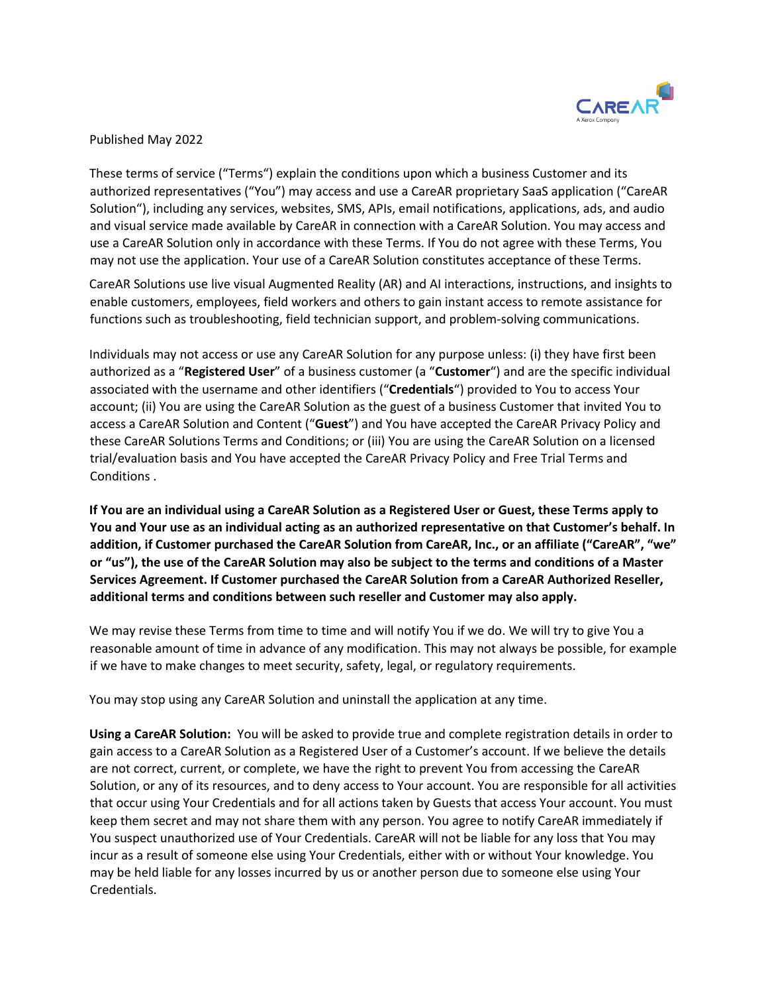

Published May 2022

These terms of service ("Terms") explain the conditions upon which a business Customer and its authorized representatives ("You") may access and use a CareAR proprietary SaaS application ("CareAR Solution"), including any services, websites, SMS, APIs, email notifications, applications, ads, and audio and visual service made available by CareAR in connection with a CareAR Solution. You may access and use a CareAR Solution only in accordance with these Terms. If You do not agree with these Terms, You may not use the application. Your use of a CareAR Solution constitutes acceptance of these Terms.

CareAR Solutions use live visual Augmented Reality (AR) and AI interactions, instructions, and insights to enable customers, employees, field workers and others to gain instant access to remote assistance for functions such as troubleshooting, field technician support, and problem-solving communications.

Individuals may not access or use any CareAR Solution for any purpose unless: (i) they have first been authorized as a "**Registered User**" of a business customer (a "**Customer**") and are the specific individual associated with the username and other identifiers ("**Credentials**") provided to You to access Your account; (ii) You are using the CareAR Solution as the guest of a business Customer that invited You to access a CareAR Solution and Content ("**Guest**") and You have accepted the CareAR Privacy Policy and these CareAR Solutions Terms and Conditions; or (iii) You are using the CareAR Solution on a licensed trial/evaluation basis and You have accepted the CareAR Privacy Policy and Free Trial Terms and Conditions .

**If You are an individual using a CareAR Solution as a Registered User or Guest, these Terms apply to You and Your use as an individual acting as an authorized representative on that Customer's behalf. In addition, if Customer purchased the CareAR Solution from CareAR, Inc., or an affiliate ("CareAR", "we" or "us"), the use of the CareAR Solution may also be subject to the terms and conditions of a Master Services Agreement. If Customer purchased the CareAR Solution from a CareAR Authorized Reseller, additional terms and conditions between such reseller and Customer may also apply.**

We may revise these Terms from time to time and will notify You if we do. We will try to give You a reasonable amount of time in advance of any modification. This may not always be possible, for example if we have to make changes to meet security, safety, legal, or regulatory requirements.

You may stop using any CareAR Solution and uninstall the application at any time.

**Using a CareAR Solution:** You will be asked to provide true and complete registration details in order to gain access to a CareAR Solution as a Registered User of a Customer's account. If we believe the details are not correct, current, or complete, we have the right to prevent You from accessing the CareAR Solution, or any of its resources, and to deny access to Your account. You are responsible for all activities that occur using Your Credentials and for all actions taken by Guests that access Your account. You must keep them secret and may not share them with any person. You agree to notify CareAR immediately if You suspect unauthorized use of Your Credentials. CareAR will not be liable for any loss that You may incur as a result of someone else using Your Credentials, either with or without Your knowledge. You may be held liable for any losses incurred by us or another person due to someone else using Your Credentials.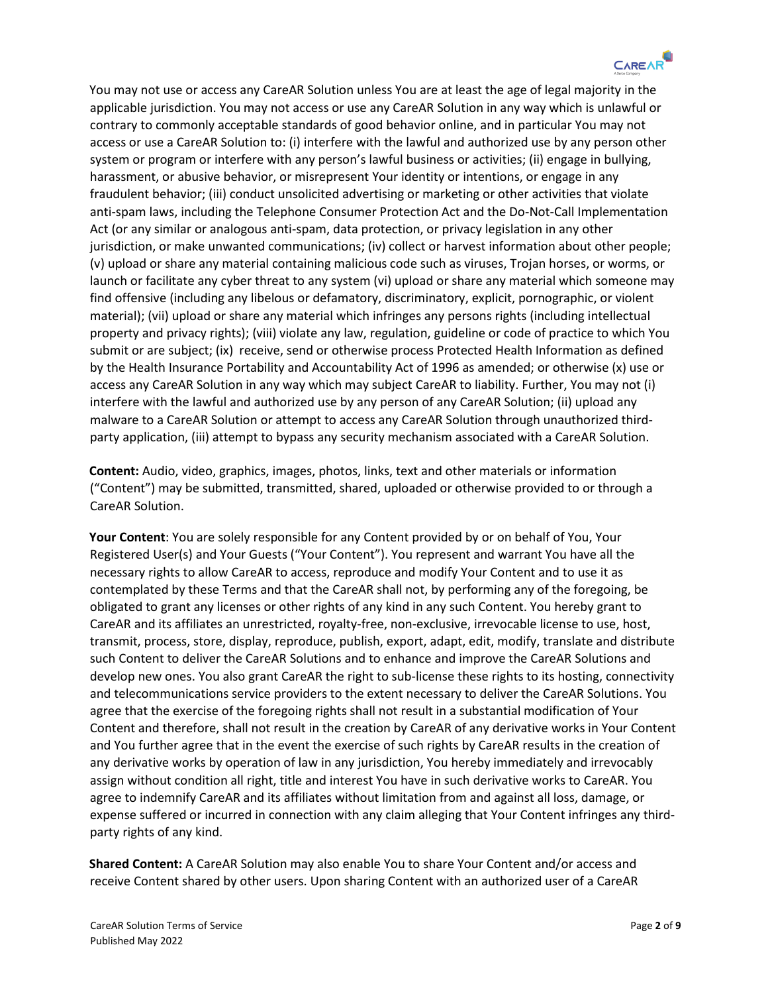

You may not use or access any CareAR Solution unless You are at least the age of legal majority in the applicable jurisdiction. You may not access or use any CareAR Solution in any way which is unlawful or contrary to commonly acceptable standards of good behavior online, and in particular You may not access or use a CareAR Solution to: (i) interfere with the lawful and authorized use by any person other system or program or interfere with any person's lawful business or activities; (ii) engage in bullying, harassment, or abusive behavior, or misrepresent Your identity or intentions, or engage in any fraudulent behavior; (iii) conduct unsolicited advertising or marketing or other activities that violate anti-spam laws, including the Telephone Consumer Protection Act and the Do-Not-Call Implementation Act (or any similar or analogous anti-spam, data protection, or privacy legislation in any other jurisdiction, or make unwanted communications; (iv) collect or harvest information about other people; (v) upload or share any material containing malicious code such as viruses, Trojan horses, or worms, or launch or facilitate any cyber threat to any system (vi) upload or share any material which someone may find offensive (including any libelous or defamatory, discriminatory, explicit, pornographic, or violent material); (vii) upload or share any material which infringes any persons rights (including intellectual property and privacy rights); (viii) violate any law, regulation, guideline or code of practice to which You submit or are subject; (ix) receive, send or otherwise process Protected Health Information as defined by the Health Insurance Portability and Accountability Act of 1996 as amended; or otherwise (x) use or access any CareAR Solution in any way which may subject CareAR to liability. Further, You may not (i) interfere with the lawful and authorized use by any person of any CareAR Solution; (ii) upload any malware to a CareAR Solution or attempt to access any CareAR Solution through unauthorized thirdparty application, (iii) attempt to bypass any security mechanism associated with a CareAR Solution.

**Content:** Audio, video, graphics, images, photos, links, text and other materials or information ("Content") may be submitted, transmitted, shared, uploaded or otherwise provided to or through a CareAR Solution.

**Your Content**: You are solely responsible for any Content provided by or on behalf of You, Your Registered User(s) and Your Guests ("Your Content"). You represent and warrant You have all the necessary rights to allow CareAR to access, reproduce and modify Your Content and to use it as contemplated by these Terms and that the CareAR shall not, by performing any of the foregoing, be obligated to grant any licenses or other rights of any kind in any such Content. You hereby grant to CareAR and its affiliates an unrestricted, royalty-free, non-exclusive, irrevocable license to use, host, transmit, process, store, display, reproduce, publish, export, adapt, edit, modify, translate and distribute such Content to deliver the CareAR Solutions and to enhance and improve the CareAR Solutions and develop new ones. You also grant CareAR the right to sub-license these rights to its hosting, connectivity and telecommunications service providers to the extent necessary to deliver the CareAR Solutions. You agree that the exercise of the foregoing rights shall not result in a substantial modification of Your Content and therefore, shall not result in the creation by CareAR of any derivative works in Your Content and You further agree that in the event the exercise of such rights by CareAR results in the creation of any derivative works by operation of law in any jurisdiction, You hereby immediately and irrevocably assign without condition all right, title and interest You have in such derivative works to CareAR. You agree to indemnify CareAR and its affiliates without limitation from and against all loss, damage, or expense suffered or incurred in connection with any claim alleging that Your Content infringes any thirdparty rights of any kind.

**Shared Content:** A CareAR Solution may also enable You to share Your Content and/or access and receive Content shared by other users. Upon sharing Content with an authorized user of a CareAR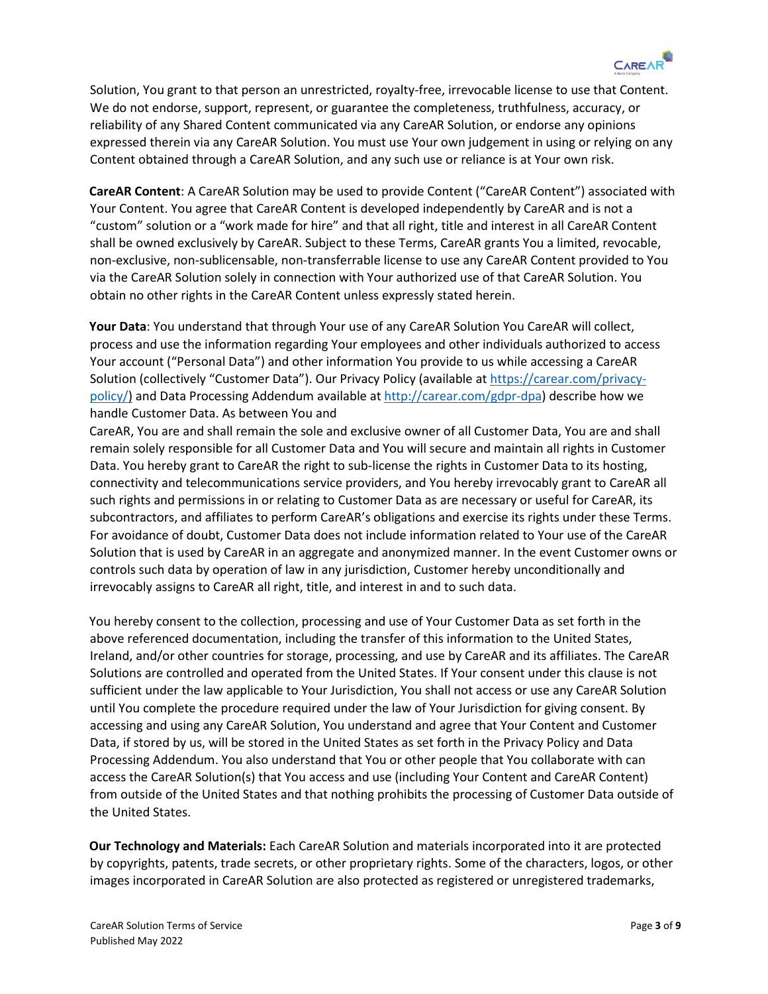

Solution, You grant to that person an unrestricted, royalty-free, irrevocable license to use that Content. We do not endorse, support, represent, or guarantee the completeness, truthfulness, accuracy, or reliability of any Shared Content communicated via any CareAR Solution, or endorse any opinions expressed therein via any CareAR Solution. You must use Your own judgement in using or relying on any Content obtained through a CareAR Solution, and any such use or reliance is at Your own risk.

**CareAR Content**: A CareAR Solution may be used to provide Content ("CareAR Content") associated with Your Content. You agree that CareAR Content is developed independently by CareAR and is not a "custom" solution or a "work made for hire" and that all right, title and interest in all CareAR Content shall be owned exclusively by CareAR. Subject to these Terms, CareAR grants You a limited, revocable, non-exclusive, non-sublicensable, non-transferrable license to use any CareAR Content provided to You via the CareAR Solution solely in connection with Your authorized use of that CareAR Solution. You obtain no other rights in the CareAR Content unless expressly stated herein.

**Your Data**: You understand that through Your use of any CareAR Solution You CareAR will collect, process and use the information regarding Your employees and other individuals authorized to access Your account ("Personal Data") and other information You provide to us while accessing a CareAR Solution (collectively "Customer Data"). Our Privacy Policy (available at [https://carear.com/privacy](https://carear.com/privacy-policy/)[policy/\)](https://carear.com/privacy-policy/) and Data Processing Addendum available a[t http://carear.com/gdpr-dpa\)](http://carear.com/gdpr-dpa) describe how we handle Customer Data. As between You and

CareAR, You are and shall remain the sole and exclusive owner of all Customer Data, You are and shall remain solely responsible for all Customer Data and You will secure and maintain all rights in Customer Data. You hereby grant to CareAR the right to sub-license the rights in Customer Data to its hosting, connectivity and telecommunications service providers, and You hereby irrevocably grant to CareAR all such rights and permissions in or relating to Customer Data as are necessary or useful for CareAR, its subcontractors, and affiliates to perform CareAR's obligations and exercise its rights under these Terms. For avoidance of doubt, Customer Data does not include information related to Your use of the CareAR Solution that is used by CareAR in an aggregate and anonymized manner. In the event Customer owns or controls such data by operation of law in any jurisdiction, Customer hereby unconditionally and irrevocably assigns to CareAR all right, title, and interest in and to such data.

You hereby consent to the collection, processing and use of Your Customer Data as set forth in the above referenced documentation, including the transfer of this information to the United States, Ireland, and/or other countries for storage, processing, and use by CareAR and its affiliates. The CareAR Solutions are controlled and operated from the United States. If Your consent under this clause is not sufficient under the law applicable to Your Jurisdiction, You shall not access or use any CareAR Solution until You complete the procedure required under the law of Your Jurisdiction for giving consent. By accessing and using any CareAR Solution, You understand and agree that Your Content and Customer Data, if stored by us, will be stored in the United States as set forth in the Privacy Policy and Data Processing Addendum. You also understand that You or other people that You collaborate with can access the CareAR Solution(s) that You access and use (including Your Content and CareAR Content) from outside of the United States and that nothing prohibits the processing of Customer Data outside of the United States.

**Our Technology and Materials:** Each CareAR Solution and materials incorporated into it are protected by copyrights, patents, trade secrets, or other proprietary rights. Some of the characters, logos, or other images incorporated in CareAR Solution are also protected as registered or unregistered trademarks,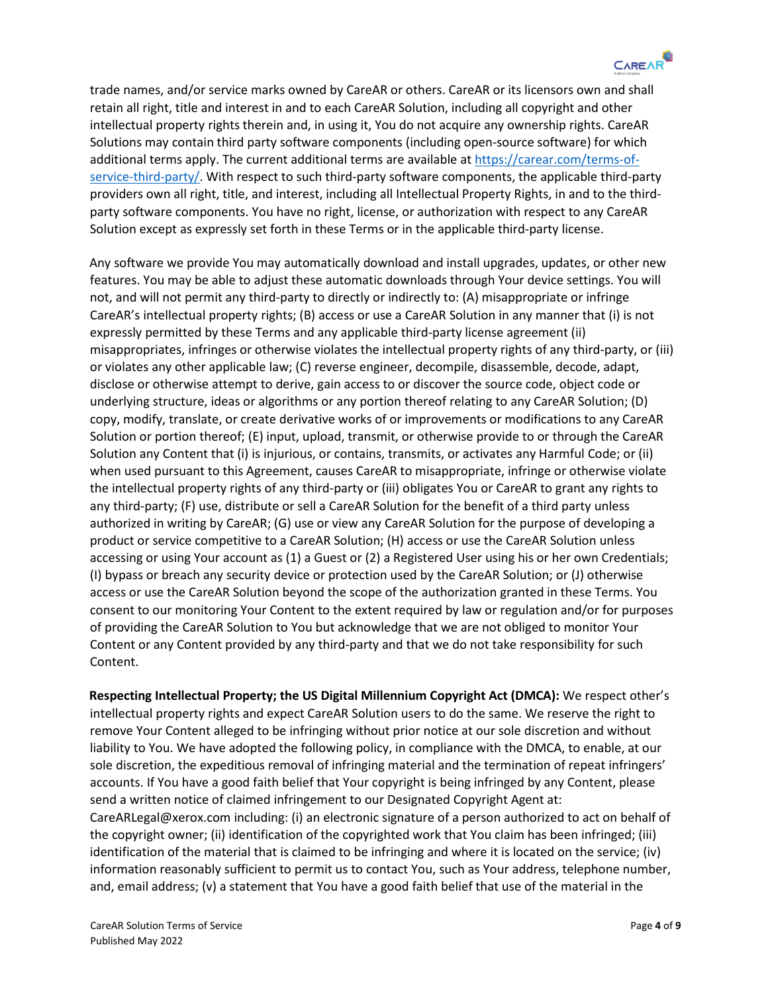

trade names, and/or service marks owned by CareAR or others. CareAR or its licensors own and shall retain all right, title and interest in and to each CareAR Solution, including all copyright and other intellectual property rights therein and, in using it, You do not acquire any ownership rights. CareAR Solutions may contain third party software components (including open-source software) for which additional terms apply. The current additional terms are available at [https://carear.com/terms-of](https://carear.com/terms-of-service-third-party/)[service-third-party/.](https://carear.com/terms-of-service-third-party/) With respect to such third-party software components, the applicable third-party providers own all right, title, and interest, including all Intellectual Property Rights, in and to the thirdparty software components. You have no right, license, or authorization with respect to any CareAR Solution except as expressly set forth in these Terms or in the applicable third-party license.

Any software we provide You may automatically download and install upgrades, updates, or other new features. You may be able to adjust these automatic downloads through Your device settings. You will not, and will not permit any third-party to directly or indirectly to: (A) misappropriate or infringe CareAR's intellectual property rights; (B) access or use a CareAR Solution in any manner that (i) is not expressly permitted by these Terms and any applicable third-party license agreement (ii) misappropriates, infringes or otherwise violates the intellectual property rights of any third-party, or (iii) or violates any other applicable law; (C) reverse engineer, decompile, disassemble, decode, adapt, disclose or otherwise attempt to derive, gain access to or discover the source code, object code or underlying structure, ideas or algorithms or any portion thereof relating to any CareAR Solution; (D) copy, modify, translate, or create derivative works of or improvements or modifications to any CareAR Solution or portion thereof; (E) input, upload, transmit, or otherwise provide to or through the CareAR Solution any Content that (i) is injurious, or contains, transmits, or activates any Harmful Code; or (ii) when used pursuant to this Agreement, causes CareAR to misappropriate, infringe or otherwise violate the intellectual property rights of any third-party or (iii) obligates You or CareAR to grant any rights to any third-party; (F) use, distribute or sell a CareAR Solution for the benefit of a third party unless authorized in writing by CareAR; (G) use or view any CareAR Solution for the purpose of developing a product or service competitive to a CareAR Solution; (H) access or use the CareAR Solution unless accessing or using Your account as (1) a Guest or (2) a Registered User using his or her own Credentials; (I) bypass or breach any security device or protection used by the CareAR Solution; or (J) otherwise access or use the CareAR Solution beyond the scope of the authorization granted in these Terms. You consent to our monitoring Your Content to the extent required by law or regulation and/or for purposes of providing the CareAR Solution to You but acknowledge that we are not obliged to monitor Your Content or any Content provided by any third-party and that we do not take responsibility for such Content.

**Respecting Intellectual Property; the US Digital Millennium Copyright Act (DMCA):** We respect other's intellectual property rights and expect CareAR Solution users to do the same. We reserve the right to remove Your Content alleged to be infringing without prior notice at our sole discretion and without liability to You. We have adopted the following policy, in compliance with the DMCA, to enable, at our sole discretion, the expeditious removal of infringing material and the termination of repeat infringers' accounts. If You have a good faith belief that Your copyright is being infringed by any Content, please send a written notice of claimed infringement to our Designated Copyright Agent at: CareARLegal@xerox.com including: (i) an electronic signature of a person authorized to act on behalf of the copyright owner; (ii) identification of the copyrighted work that You claim has been infringed; (iii) identification of the material that is claimed to be infringing and where it is located on the service; (iv) information reasonably sufficient to permit us to contact You, such as Your address, telephone number, and, email address; (v) a statement that You have a good faith belief that use of the material in the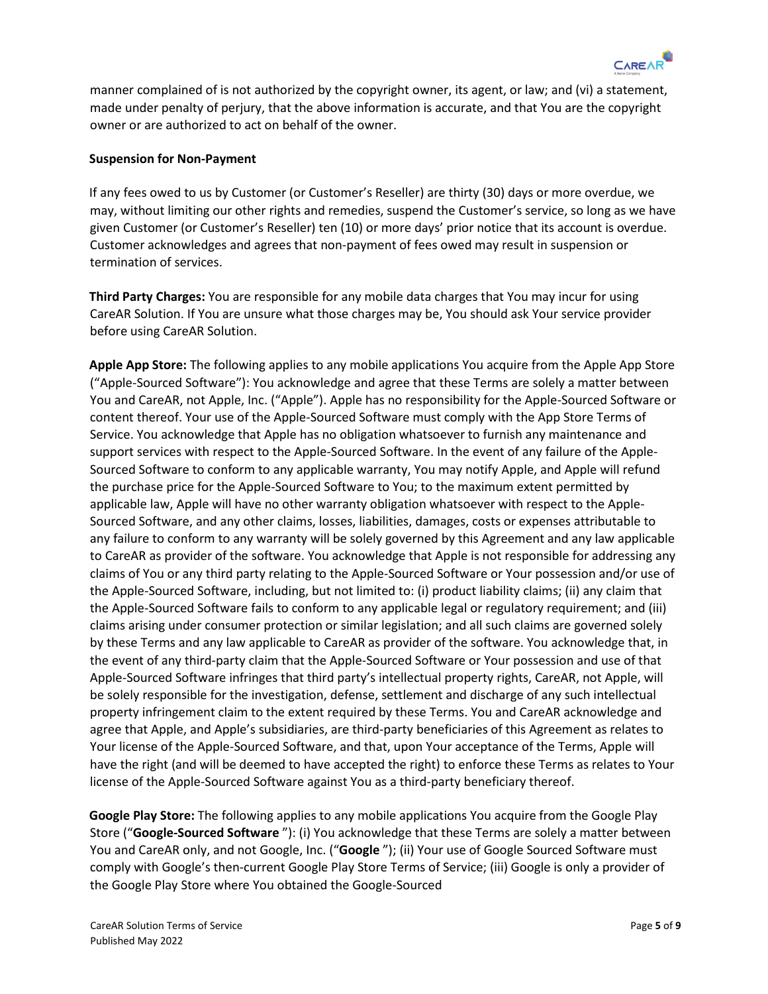

manner complained of is not authorized by the copyright owner, its agent, or law; and (vi) a statement, made under penalty of perjury, that the above information is accurate, and that You are the copyright owner or are authorized to act on behalf of the owner.

## **Suspension for Non-Payment**

If any fees owed to us by Customer (or Customer's Reseller) are thirty (30) days or more overdue, we may, without limiting our other rights and remedies, suspend the Customer's service, so long as we have given Customer (or Customer's Reseller) ten (10) or more days' prior notice that its account is overdue. Customer acknowledges and agrees that non-payment of fees owed may result in suspension or termination of services.

**Third Party Charges:** You are responsible for any mobile data charges that You may incur for using CareAR Solution. If You are unsure what those charges may be, You should ask Your service provider before using CareAR Solution.

**Apple App Store:** The following applies to any mobile applications You acquire from the Apple App Store ("Apple-Sourced Software"): You acknowledge and agree that these Terms are solely a matter between You and CareAR, not Apple, Inc. ("Apple"). Apple has no responsibility for the Apple-Sourced Software or content thereof. Your use of the Apple-Sourced Software must comply with the App Store Terms of Service. You acknowledge that Apple has no obligation whatsoever to furnish any maintenance and support services with respect to the Apple-Sourced Software. In the event of any failure of the Apple-Sourced Software to conform to any applicable warranty, You may notify Apple, and Apple will refund the purchase price for the Apple-Sourced Software to You; to the maximum extent permitted by applicable law, Apple will have no other warranty obligation whatsoever with respect to the Apple-Sourced Software, and any other claims, losses, liabilities, damages, costs or expenses attributable to any failure to conform to any warranty will be solely governed by this Agreement and any law applicable to CareAR as provider of the software. You acknowledge that Apple is not responsible for addressing any claims of You or any third party relating to the Apple-Sourced Software or Your possession and/or use of the Apple-Sourced Software, including, but not limited to: (i) product liability claims; (ii) any claim that the Apple-Sourced Software fails to conform to any applicable legal or regulatory requirement; and (iii) claims arising under consumer protection or similar legislation; and all such claims are governed solely by these Terms and any law applicable to CareAR as provider of the software. You acknowledge that, in the event of any third-party claim that the Apple-Sourced Software or Your possession and use of that Apple-Sourced Software infringes that third party's intellectual property rights, CareAR, not Apple, will be solely responsible for the investigation, defense, settlement and discharge of any such intellectual property infringement claim to the extent required by these Terms. You and CareAR acknowledge and agree that Apple, and Apple's subsidiaries, are third-party beneficiaries of this Agreement as relates to Your license of the Apple-Sourced Software, and that, upon Your acceptance of the Terms, Apple will have the right (and will be deemed to have accepted the right) to enforce these Terms as relates to Your license of the Apple-Sourced Software against You as a third-party beneficiary thereof.

**Google Play Store:** The following applies to any mobile applications You acquire from the Google Play Store ("**Google-Sourced Software** "): (i) You acknowledge that these Terms are solely a matter between You and CareAR only, and not Google, Inc. ("**Google** "); (ii) Your use of Google Sourced Software must comply with Google's then-current Google Play Store Terms of Service; (iii) Google is only a provider of the Google Play Store where You obtained the Google-Sourced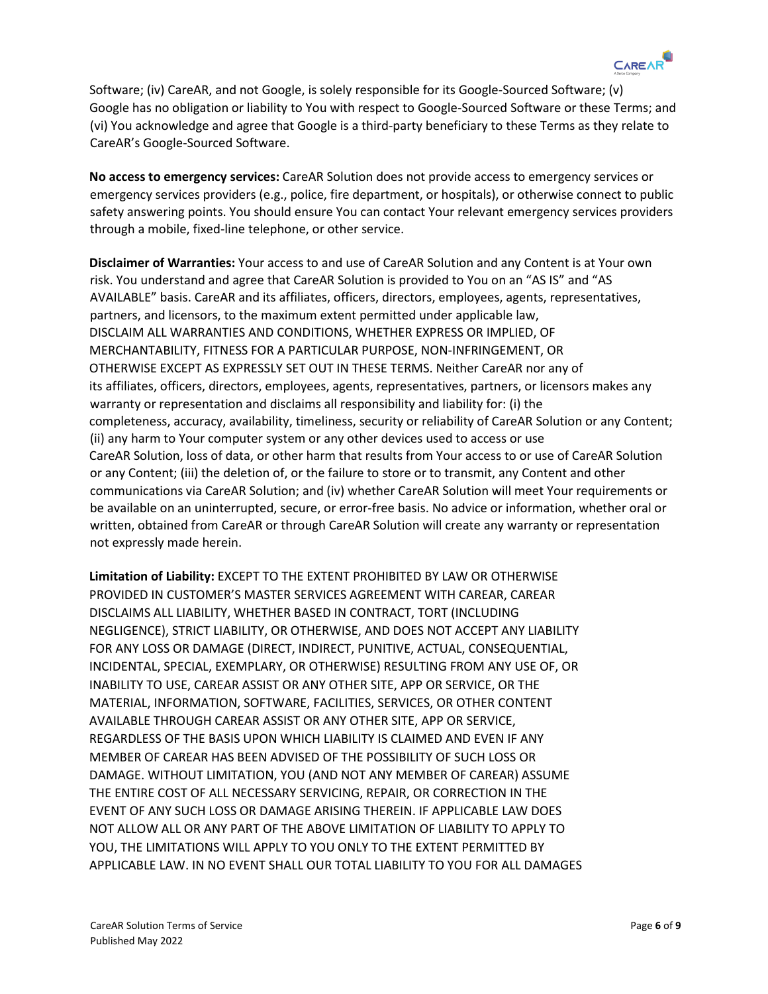

Software; (iv) CareAR, and not Google, is solely responsible for its Google-Sourced Software; (v) Google has no obligation or liability to You with respect to Google-Sourced Software or these Terms; and (vi) You acknowledge and agree that Google is a third-party beneficiary to these Terms as they relate to CareAR's Google-Sourced Software.

**No access to emergency services:** CareAR Solution does not provide access to emergency services or emergency services providers (e.g., police, fire department, or hospitals), or otherwise connect to public safety answering points. You should ensure You can contact Your relevant emergency services providers through a mobile, fixed-line telephone, or other service.

**Disclaimer of Warranties:** Your access to and use of CareAR Solution and any Content is at Your own risk. You understand and agree that CareAR Solution is provided to You on an "AS IS" and "AS AVAILABLE" basis. CareAR and its affiliates, officers, directors, employees, agents, representatives, partners, and licensors, to the maximum extent permitted under applicable law, DISCLAIM ALL WARRANTIES AND CONDITIONS, WHETHER EXPRESS OR IMPLIED, OF MERCHANTABILITY, FITNESS FOR A PARTICULAR PURPOSE, NON-INFRINGEMENT, OR OTHERWISE EXCEPT AS EXPRESSLY SET OUT IN THESE TERMS. Neither CareAR nor any of its affiliates, officers, directors, employees, agents, representatives, partners, or licensors makes any warranty or representation and disclaims all responsibility and liability for: (i) the completeness, accuracy, availability, timeliness, security or reliability of CareAR Solution or any Content; (ii) any harm to Your computer system or any other devices used to access or use CareAR Solution, loss of data, or other harm that results from Your access to or use of CareAR Solution or any Content; (iii) the deletion of, or the failure to store or to transmit, any Content and other communications via CareAR Solution; and (iv) whether CareAR Solution will meet Your requirements or be available on an uninterrupted, secure, or error-free basis. No advice or information, whether oral or written, obtained from CareAR or through CareAR Solution will create any warranty or representation not expressly made herein.

**Limitation of Liability:** EXCEPT TO THE EXTENT PROHIBITED BY LAW OR OTHERWISE PROVIDED IN CUSTOMER'S MASTER SERVICES AGREEMENT WITH CAREAR, CAREAR DISCLAIMS ALL LIABILITY, WHETHER BASED IN CONTRACT, TORT (INCLUDING NEGLIGENCE), STRICT LIABILITY, OR OTHERWISE, AND DOES NOT ACCEPT ANY LIABILITY FOR ANY LOSS OR DAMAGE (DIRECT, INDIRECT, PUNITIVE, ACTUAL, CONSEQUENTIAL, INCIDENTAL, SPECIAL, EXEMPLARY, OR OTHERWISE) RESULTING FROM ANY USE OF, OR INABILITY TO USE, CAREAR ASSIST OR ANY OTHER SITE, APP OR SERVICE, OR THE MATERIAL, INFORMATION, SOFTWARE, FACILITIES, SERVICES, OR OTHER CONTENT AVAILABLE THROUGH CAREAR ASSIST OR ANY OTHER SITE, APP OR SERVICE, REGARDLESS OF THE BASIS UPON WHICH LIABILITY IS CLAIMED AND EVEN IF ANY MEMBER OF CAREAR HAS BEEN ADVISED OF THE POSSIBILITY OF SUCH LOSS OR DAMAGE. WITHOUT LIMITATION, YOU (AND NOT ANY MEMBER OF CAREAR) ASSUME THE ENTIRE COST OF ALL NECESSARY SERVICING, REPAIR, OR CORRECTION IN THE EVENT OF ANY SUCH LOSS OR DAMAGE ARISING THEREIN. IF APPLICABLE LAW DOES NOT ALLOW ALL OR ANY PART OF THE ABOVE LIMITATION OF LIABILITY TO APPLY TO YOU, THE LIMITATIONS WILL APPLY TO YOU ONLY TO THE EXTENT PERMITTED BY APPLICABLE LAW. IN NO EVENT SHALL OUR TOTAL LIABILITY TO YOU FOR ALL DAMAGES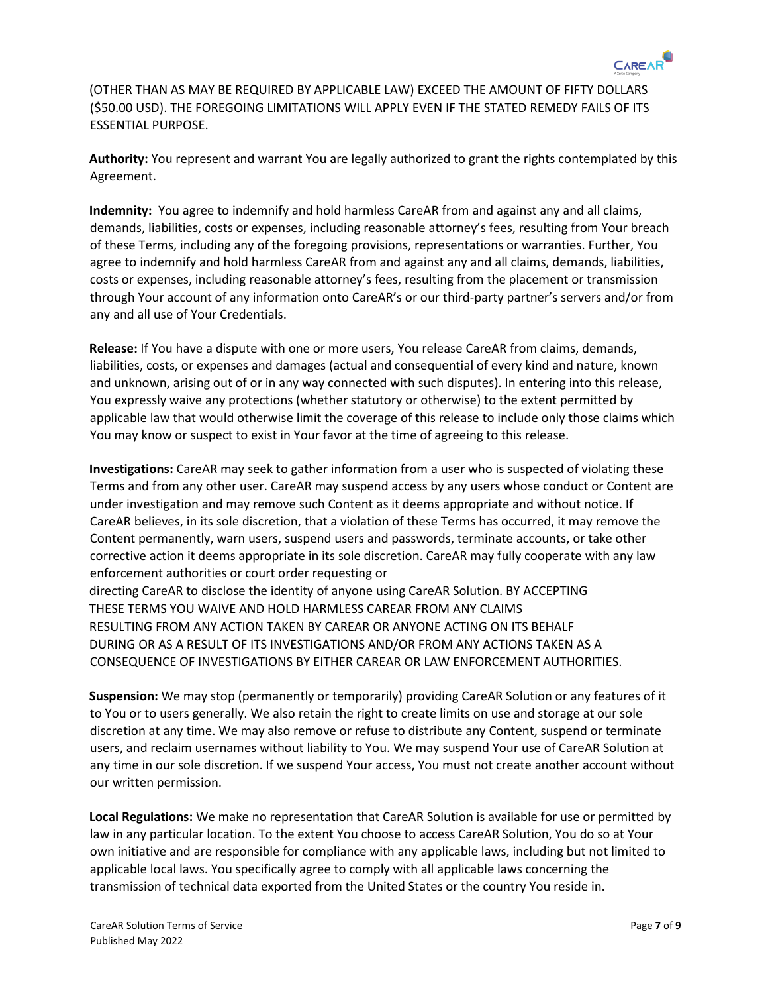

(OTHER THAN AS MAY BE REQUIRED BY APPLICABLE LAW) EXCEED THE AMOUNT OF FIFTY DOLLARS (\$50.00 USD). THE FOREGOING LIMITATIONS WILL APPLY EVEN IF THE STATED REMEDY FAILS OF ITS ESSENTIAL PURPOSE.

**Authority:** You represent and warrant You are legally authorized to grant the rights contemplated by this Agreement.

**Indemnity:** You agree to indemnify and hold harmless CareAR from and against any and all claims, demands, liabilities, costs or expenses, including reasonable attorney's fees, resulting from Your breach of these Terms, including any of the foregoing provisions, representations or warranties. Further, You agree to indemnify and hold harmless CareAR from and against any and all claims, demands, liabilities, costs or expenses, including reasonable attorney's fees, resulting from the placement or transmission through Your account of any information onto CareAR's or our third-party partner's servers and/or from any and all use of Your Credentials.

**Release:** If You have a dispute with one or more users, You release CareAR from claims, demands, liabilities, costs, or expenses and damages (actual and consequential of every kind and nature, known and unknown, arising out of or in any way connected with such disputes). In entering into this release, You expressly waive any protections (whether statutory or otherwise) to the extent permitted by applicable law that would otherwise limit the coverage of this release to include only those claims which You may know or suspect to exist in Your favor at the time of agreeing to this release.

**Investigations:** CareAR may seek to gather information from a user who is suspected of violating these Terms and from any other user. CareAR may suspend access by any users whose conduct or Content are under investigation and may remove such Content as it deems appropriate and without notice. If CareAR believes, in its sole discretion, that a violation of these Terms has occurred, it may remove the Content permanently, warn users, suspend users and passwords, terminate accounts, or take other corrective action it deems appropriate in its sole discretion. CareAR may fully cooperate with any law enforcement authorities or court order requesting or directing CareAR to disclose the identity of anyone using CareAR Solution. BY ACCEPTING THESE TERMS YOU WAIVE AND HOLD HARMLESS CAREAR FROM ANY CLAIMS RESULTING FROM ANY ACTION TAKEN BY CAREAR OR ANYONE ACTING ON ITS BEHALF

DURING OR AS A RESULT OF ITS INVESTIGATIONS AND/OR FROM ANY ACTIONS TAKEN AS A CONSEQUENCE OF INVESTIGATIONS BY EITHER CAREAR OR LAW ENFORCEMENT AUTHORITIES.

**Suspension:** We may stop (permanently or temporarily) providing CareAR Solution or any features of it to You or to users generally. We also retain the right to create limits on use and storage at our sole discretion at any time. We may also remove or refuse to distribute any Content, suspend or terminate users, and reclaim usernames without liability to You. We may suspend Your use of CareAR Solution at any time in our sole discretion. If we suspend Your access, You must not create another account without our written permission.

**Local Regulations:** We make no representation that CareAR Solution is available for use or permitted by law in any particular location. To the extent You choose to access CareAR Solution, You do so at Your own initiative and are responsible for compliance with any applicable laws, including but not limited to applicable local laws. You specifically agree to comply with all applicable laws concerning the transmission of technical data exported from the United States or the country You reside in.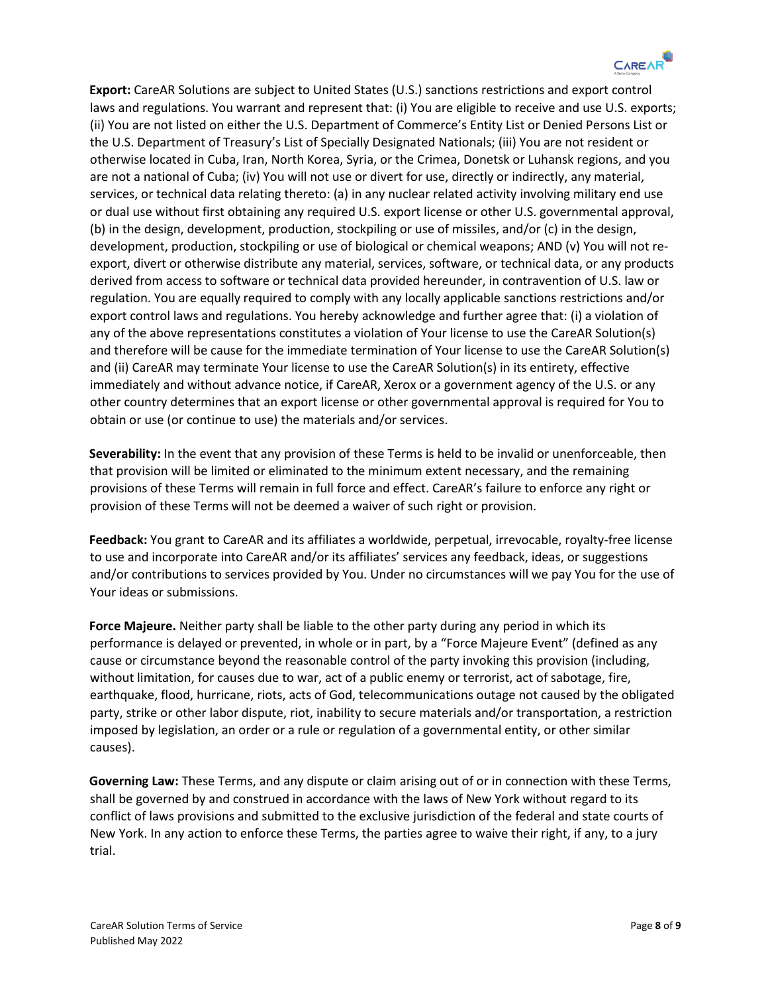

**Export:** CareAR Solutions are subject to United States (U.S.) sanctions restrictions and export control laws and regulations. You warrant and represent that: (i) You are eligible to receive and use U.S. exports; (ii) You are not listed on either the U.S. Department of Commerce's Entity List or Denied Persons List or the U.S. Department of Treasury's List of Specially Designated Nationals; (iii) You are not resident or otherwise located in Cuba, Iran, North Korea, Syria, or the Crimea, Donetsk or Luhansk regions, and you are not a national of Cuba; (iv) You will not use or divert for use, directly or indirectly, any material, services, or technical data relating thereto: (a) in any nuclear related activity involving military end use or dual use without first obtaining any required U.S. export license or other U.S. governmental approval, (b) in the design, development, production, stockpiling or use of missiles, and/or (c) in the design, development, production, stockpiling or use of biological or chemical weapons; AND (v) You will not reexport, divert or otherwise distribute any material, services, software, or technical data, or any products derived from access to software or technical data provided hereunder, in contravention of U.S. law or regulation. You are equally required to comply with any locally applicable sanctions restrictions and/or export control laws and regulations. You hereby acknowledge and further agree that: (i) a violation of any of the above representations constitutes a violation of Your license to use the CareAR Solution(s) and therefore will be cause for the immediate termination of Your license to use the CareAR Solution(s) and (ii) CareAR may terminate Your license to use the CareAR Solution(s) in its entirety, effective immediately and without advance notice, if CareAR, Xerox or a government agency of the U.S. or any other country determines that an export license or other governmental approval is required for You to obtain or use (or continue to use) the materials and/or services.

**Severability:** In the event that any provision of these Terms is held to be invalid or unenforceable, then that provision will be limited or eliminated to the minimum extent necessary, and the remaining provisions of these Terms will remain in full force and effect. CareAR's failure to enforce any right or provision of these Terms will not be deemed a waiver of such right or provision.

**Feedback:** You grant to CareAR and its affiliates a worldwide, perpetual, irrevocable, royalty-free license to use and incorporate into CareAR and/or its affiliates' services any feedback, ideas, or suggestions and/or contributions to services provided by You. Under no circumstances will we pay You for the use of Your ideas or submissions.

**Force Majeure.** Neither party shall be liable to the other party during any period in which its performance is delayed or prevented, in whole or in part, by a "Force Majeure Event" (defined as any cause or circumstance beyond the reasonable control of the party invoking this provision (including, without limitation, for causes due to war, act of a public enemy or terrorist, act of sabotage, fire, earthquake, flood, hurricane, riots, acts of God, telecommunications outage not caused by the obligated party, strike or other labor dispute, riot, inability to secure materials and/or transportation, a restriction imposed by legislation, an order or a rule or regulation of a governmental entity, or other similar causes).

**Governing Law:** These Terms, and any dispute or claim arising out of or in connection with these Terms, shall be governed by and construed in accordance with the laws of New York without regard to its conflict of laws provisions and submitted to the exclusive jurisdiction of the federal and state courts of New York. In any action to enforce these Terms, the parties agree to waive their right, if any, to a jury trial.